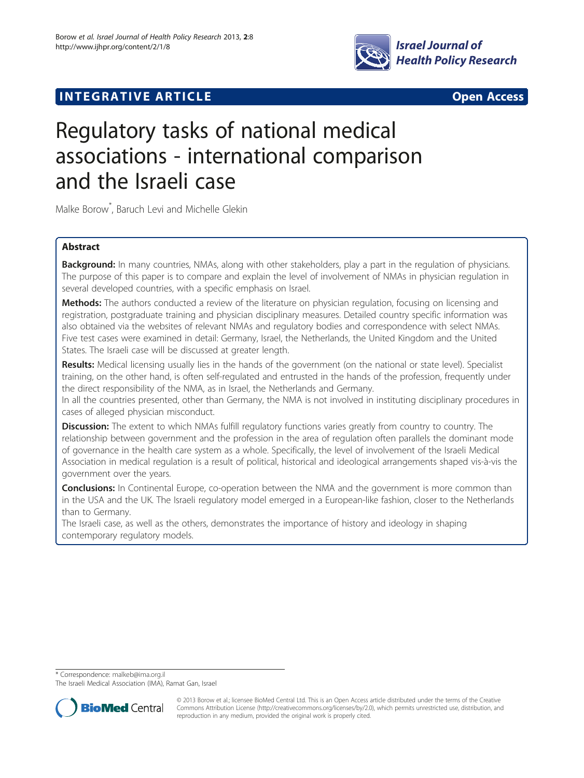

# **INTEGRATIVE ARTICLE Example 2018 12:00 THE Open Access**

# Regulatory tasks of national medical associations - international comparison and the Israeli case

Malke Borow\* , Baruch Levi and Michelle Glekin

# Abstract

Background: In many countries, NMAs, along with other stakeholders, play a part in the regulation of physicians. The purpose of this paper is to compare and explain the level of involvement of NMAs in physician regulation in several developed countries, with a specific emphasis on Israel.

Methods: The authors conducted a review of the literature on physician regulation, focusing on licensing and registration, postgraduate training and physician disciplinary measures. Detailed country specific information was also obtained via the websites of relevant NMAs and regulatory bodies and correspondence with select NMAs. Five test cases were examined in detail: Germany, Israel, the Netherlands, the United Kingdom and the United States. The Israeli case will be discussed at greater length.

Results: Medical licensing usually lies in the hands of the government (on the national or state level). Specialist training, on the other hand, is often self-regulated and entrusted in the hands of the profession, frequently under the direct responsibility of the NMA, as in Israel, the Netherlands and Germany.

In all the countries presented, other than Germany, the NMA is not involved in instituting disciplinary procedures in cases of alleged physician misconduct.

**Discussion:** The extent to which NMAs fulfill regulatory functions varies greatly from country to country. The relationship between government and the profession in the area of regulation often parallels the dominant mode of governance in the health care system as a whole. Specifically, the level of involvement of the Israeli Medical Association in medical regulation is a result of political, historical and ideological arrangements shaped vis-à-vis the government over the years.

**Conclusions:** In Continental Europe, co-operation between the NMA and the government is more common than in the USA and the UK. The Israeli regulatory model emerged in a European-like fashion, closer to the Netherlands than to Germany.

The Israeli case, as well as the others, demonstrates the importance of history and ideology in shaping contemporary regulatory models.

\* Correspondence: [malkeb@ima.org.il](mailto:malkeb@ima.org.il)

The Israeli Medical Association (IMA), Ramat Gan, Israel



© 2013 Borow et al.; licensee BioMed Central Ltd. This is an Open Access article distributed under the terms of the Creative Commons Attribution License [\(http://creativecommons.org/licenses/by/2.0\)](http://creativecommons.org/licenses/by/2.0), which permits unrestricted use, distribution, and reproduction in any medium, provided the original work is properly cited.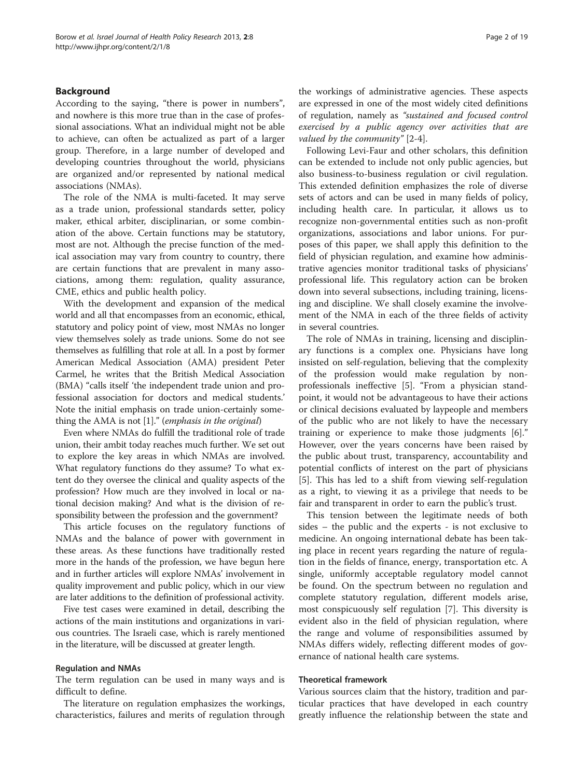#### Background

According to the saying, "there is power in numbers", and nowhere is this more true than in the case of professional associations. What an individual might not be able to achieve, can often be actualized as part of a larger group. Therefore, in a large number of developed and developing countries throughout the world, physicians are organized and/or represented by national medical associations (NMAs).

The role of the NMA is multi-faceted. It may serve as a trade union, professional standards setter, policy maker, ethical arbiter, disciplinarian, or some combination of the above. Certain functions may be statutory, most are not. Although the precise function of the medical association may vary from country to country, there are certain functions that are prevalent in many associations, among them: regulation, quality assurance, CME, ethics and public health policy.

With the development and expansion of the medical world and all that encompasses from an economic, ethical, statutory and policy point of view, most NMAs no longer view themselves solely as trade unions. Some do not see themselves as fulfilling that role at all. In a post by former American Medical Association (AMA) president Peter Carmel, he writes that the British Medical Association (BMA) "calls itself 'the independent trade union and professional association for doctors and medical students.' Note the initial emphasis on trade union-certainly something the AMA is not  $[1]$ ." (emphasis in the original)

Even where NMAs do fulfill the traditional role of trade union, their ambit today reaches much further. We set out to explore the key areas in which NMAs are involved. What regulatory functions do they assume? To what extent do they oversee the clinical and quality aspects of the profession? How much are they involved in local or national decision making? And what is the division of responsibility between the profession and the government?

This article focuses on the regulatory functions of NMAs and the balance of power with government in these areas. As these functions have traditionally rested more in the hands of the profession, we have begun here and in further articles will explore NMAs' involvement in quality improvement and public policy, which in our view are later additions to the definition of professional activity.

Five test cases were examined in detail, describing the actions of the main institutions and organizations in various countries. The Israeli case, which is rarely mentioned in the literature, will be discussed at greater length.

#### Regulation and NMAs

The term regulation can be used in many ways and is difficult to define.

The literature on regulation emphasizes the workings, characteristics, failures and merits of regulation through the workings of administrative agencies. These aspects are expressed in one of the most widely cited definitions of regulation, namely as "sustained and focused control exercised by a public agency over activities that are valued by the community" [[2](#page-18-0)-[4\]](#page-18-0).

Following Levi-Faur and other scholars, this definition can be extended to include not only public agencies, but also business-to-business regulation or civil regulation. This extended definition emphasizes the role of diverse sets of actors and can be used in many fields of policy, including health care. In particular, it allows us to recognize non-governmental entities such as non-profit organizations, associations and labor unions. For purposes of this paper, we shall apply this definition to the field of physician regulation, and examine how administrative agencies monitor traditional tasks of physicians' professional life. This regulatory action can be broken down into several subsections, including training, licensing and discipline. We shall closely examine the involvement of the NMA in each of the three fields of activity in several countries.

The role of NMAs in training, licensing and disciplinary functions is a complex one. Physicians have long insisted on self-regulation, believing that the complexity of the profession would make regulation by nonprofessionals ineffective [\[5\]](#page-18-0). "From a physician standpoint, it would not be advantageous to have their actions or clinical decisions evaluated by laypeople and members of the public who are not likely to have the necessary training or experience to make those judgments [[6\]](#page-18-0)." However, over the years concerns have been raised by the public about trust, transparency, accountability and potential conflicts of interest on the part of physicians [[5\]](#page-18-0). This has led to a shift from viewing self-regulation as a right, to viewing it as a privilege that needs to be fair and transparent in order to earn the public's trust.

This tension between the legitimate needs of both sides – the public and the experts - is not exclusive to medicine. An ongoing international debate has been taking place in recent years regarding the nature of regulation in the fields of finance, energy, transportation etc. A single, uniformly acceptable regulatory model cannot be found. On the spectrum between no regulation and complete statutory regulation, different models arise, most conspicuously self regulation [\[7\]](#page-18-0). This diversity is evident also in the field of physician regulation, where the range and volume of responsibilities assumed by NMAs differs widely, reflecting different modes of governance of national health care systems.

#### Theoretical framework

Various sources claim that the history, tradition and particular practices that have developed in each country greatly influence the relationship between the state and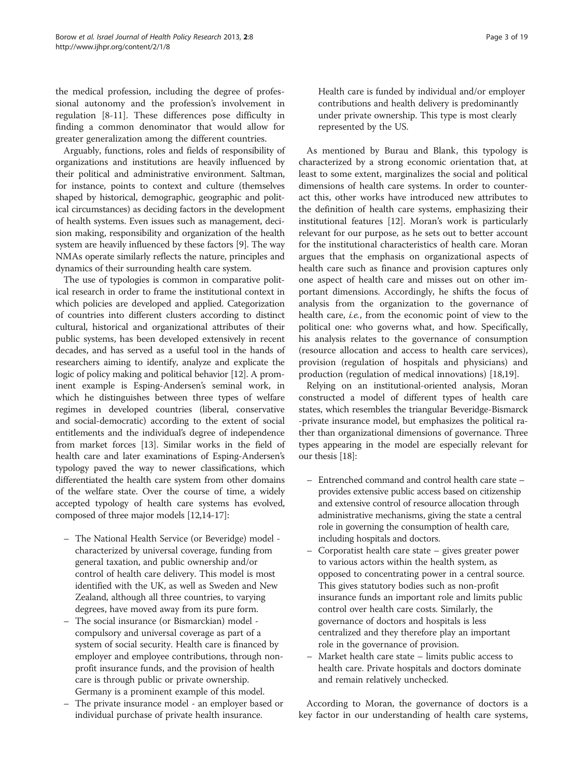the medical profession, including the degree of professional autonomy and the profession's involvement in regulation [\[8-11](#page-18-0)]. These differences pose difficulty in finding a common denominator that would allow for greater generalization among the different countries.

Arguably, functions, roles and fields of responsibility of organizations and institutions are heavily influenced by their political and administrative environment. Saltman, for instance, points to context and culture (themselves shaped by historical, demographic, geographic and political circumstances) as deciding factors in the development of health systems. Even issues such as management, decision making, responsibility and organization of the health system are heavily influenced by these factors [[9\]](#page-18-0). The way NMAs operate similarly reflects the nature, principles and dynamics of their surrounding health care system.

The use of typologies is common in comparative political research in order to frame the institutional context in which policies are developed and applied. Categorization of countries into different clusters according to distinct cultural, historical and organizational attributes of their public systems, has been developed extensively in recent decades, and has served as a useful tool in the hands of researchers aiming to identify, analyze and explicate the logic of policy making and political behavior [\[12](#page-18-0)]. A prominent example is Esping-Andersen's seminal work, in which he distinguishes between three types of welfare regimes in developed countries (liberal, conservative and social-democratic) according to the extent of social entitlements and the individual's degree of independence from market forces [[13](#page-18-0)]. Similar works in the field of health care and later examinations of Esping-Andersen's typology paved the way to newer classifications, which differentiated the health care system from other domains of the welfare state. Over the course of time, a widely accepted typology of health care systems has evolved, composed of three major models [\[12,14-17\]](#page-18-0):

- The National Health Service (or Beveridge) model characterized by universal coverage, funding from general taxation, and public ownership and/or control of health care delivery. This model is most identified with the UK, as well as Sweden and New Zealand, although all three countries, to varying degrees, have moved away from its pure form.
- The social insurance (or Bismarckian) model compulsory and universal coverage as part of a system of social security. Health care is financed by employer and employee contributions, through nonprofit insurance funds, and the provision of health care is through public or private ownership. Germany is a prominent example of this model.
- The private insurance model an employer based or individual purchase of private health insurance.

Health care is funded by individual and/or employer contributions and health delivery is predominantly under private ownership. This type is most clearly

represented by the US.

As mentioned by Burau and Blank, this typology is characterized by a strong economic orientation that, at least to some extent, marginalizes the social and political dimensions of health care systems. In order to counteract this, other works have introduced new attributes to the definition of health care systems, emphasizing their institutional features [[12](#page-18-0)]. Moran's work is particularly relevant for our purpose, as he sets out to better account for the institutional characteristics of health care. Moran argues that the emphasis on organizational aspects of health care such as finance and provision captures only one aspect of health care and misses out on other important dimensions. Accordingly, he shifts the focus of analysis from the organization to the governance of health care, i.e., from the economic point of view to the political one: who governs what, and how. Specifically, his analysis relates to the governance of consumption (resource allocation and access to health care services), provision (regulation of hospitals and physicians) and production (regulation of medical innovations) [[18](#page-18-0),[19](#page-18-0)].

Relying on an institutional-oriented analysis, Moran constructed a model of different types of health care states, which resembles the triangular Beveridge-Bismarck -private insurance model, but emphasizes the political rather than organizational dimensions of governance. Three types appearing in the model are especially relevant for our thesis [\[18\]](#page-18-0):

- Entrenched command and control health care state provides extensive public access based on citizenship and extensive control of resource allocation through administrative mechanisms, giving the state a central role in governing the consumption of health care, including hospitals and doctors.
- Corporatist health care state gives greater power to various actors within the health system, as opposed to concentrating power in a central source. This gives statutory bodies such as non-profit insurance funds an important role and limits public control over health care costs. Similarly, the governance of doctors and hospitals is less centralized and they therefore play an important role in the governance of provision.
- Market health care state limits public access to health care. Private hospitals and doctors dominate and remain relatively unchecked.

According to Moran, the governance of doctors is a key factor in our understanding of health care systems,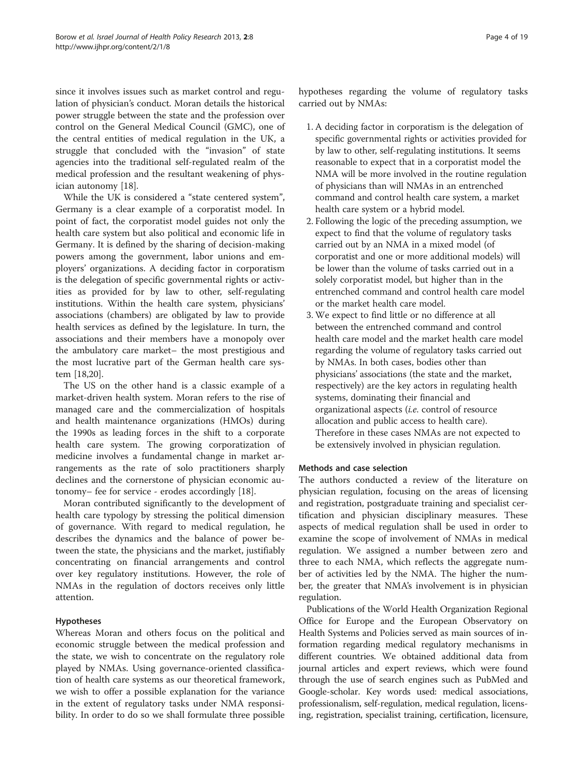since it involves issues such as market control and regulation of physician's conduct. Moran details the historical power struggle between the state and the profession over control on the General Medical Council (GMC), one of the central entities of medical regulation in the UK, a struggle that concluded with the "invasion" of state agencies into the traditional self-regulated realm of the medical profession and the resultant weakening of physician autonomy [\[18\]](#page-18-0).

While the UK is considered a "state centered system", Germany is a clear example of a corporatist model. In point of fact, the corporatist model guides not only the health care system but also political and economic life in Germany. It is defined by the sharing of decision-making powers among the government, labor unions and employers' organizations. A deciding factor in corporatism is the delegation of specific governmental rights or activities as provided for by law to other, self-regulating institutions. Within the health care system, physicians' associations (chambers) are obligated by law to provide health services as defined by the legislature. In turn, the associations and their members have a monopoly over the ambulatory care market– the most prestigious and the most lucrative part of the German health care system [[18](#page-18-0),[20](#page-18-0)].

The US on the other hand is a classic example of a market-driven health system. Moran refers to the rise of managed care and the commercialization of hospitals and health maintenance organizations (HMOs) during the 1990s as leading forces in the shift to a corporate health care system. The growing corporatization of medicine involves a fundamental change in market arrangements as the rate of solo practitioners sharply declines and the cornerstone of physician economic autonomy– fee for service - erodes accordingly [\[18\]](#page-18-0).

Moran contributed significantly to the development of health care typology by stressing the political dimension of governance. With regard to medical regulation, he describes the dynamics and the balance of power between the state, the physicians and the market, justifiably concentrating on financial arrangements and control over key regulatory institutions. However, the role of NMAs in the regulation of doctors receives only little attention.

# Hypotheses

Whereas Moran and others focus on the political and economic struggle between the medical profession and the state, we wish to concentrate on the regulatory role played by NMAs. Using governance-oriented classification of health care systems as our theoretical framework, we wish to offer a possible explanation for the variance in the extent of regulatory tasks under NMA responsibility. In order to do so we shall formulate three possible hypotheses regarding the volume of regulatory tasks carried out by NMAs:

- 1. A deciding factor in corporatism is the delegation of specific governmental rights or activities provided for by law to other, self-regulating institutions. It seems reasonable to expect that in a corporatist model the NMA will be more involved in the routine regulation of physicians than will NMAs in an entrenched command and control health care system, a market health care system or a hybrid model.
- 2. Following the logic of the preceding assumption, we expect to find that the volume of regulatory tasks carried out by an NMA in a mixed model (of corporatist and one or more additional models) will be lower than the volume of tasks carried out in a solely corporatist model, but higher than in the entrenched command and control health care model or the market health care model.
- 3. We expect to find little or no difference at all between the entrenched command and control health care model and the market health care model regarding the volume of regulatory tasks carried out by NMAs. In both cases, bodies other than physicians' associations (the state and the market, respectively) are the key actors in regulating health systems, dominating their financial and organizational aspects (i.e. control of resource allocation and public access to health care). Therefore in these cases NMAs are not expected to be extensively involved in physician regulation.

#### Methods and case selection

The authors conducted a review of the literature on physician regulation, focusing on the areas of licensing and registration, postgraduate training and specialist certification and physician disciplinary measures. These aspects of medical regulation shall be used in order to examine the scope of involvement of NMAs in medical regulation. We assigned a number between zero and three to each NMA, which reflects the aggregate number of activities led by the NMA. The higher the number, the greater that NMA's involvement is in physician regulation.

Publications of the World Health Organization Regional Office for Europe and the European Observatory on Health Systems and Policies served as main sources of information regarding medical regulatory mechanisms in different countries. We obtained additional data from journal articles and expert reviews, which were found through the use of search engines such as PubMed and Google-scholar. Key words used: medical associations, professionalism, self-regulation, medical regulation, licensing, registration, specialist training, certification, licensure,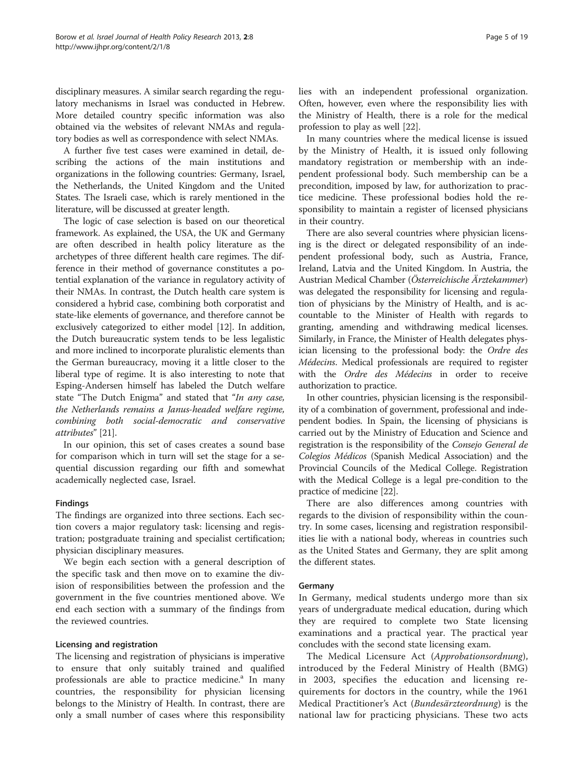disciplinary measures. A similar search regarding the regulatory mechanisms in Israel was conducted in Hebrew. More detailed country specific information was also obtained via the websites of relevant NMAs and regulatory bodies as well as correspondence with select NMAs.

A further five test cases were examined in detail, describing the actions of the main institutions and organizations in the following countries: Germany, Israel, the Netherlands, the United Kingdom and the United States. The Israeli case, which is rarely mentioned in the literature, will be discussed at greater length.

The logic of case selection is based on our theoretical framework. As explained, the USA, the UK and Germany are often described in health policy literature as the archetypes of three different health care regimes. The difference in their method of governance constitutes a potential explanation of the variance in regulatory activity of their NMAs. In contrast, the Dutch health care system is considered a hybrid case, combining both corporatist and state-like elements of governance, and therefore cannot be exclusively categorized to either model [\[12\]](#page-18-0). In addition, the Dutch bureaucratic system tends to be less legalistic and more inclined to incorporate pluralistic elements than the German bureaucracy, moving it a little closer to the liberal type of regime. It is also interesting to note that Esping-Andersen himself has labeled the Dutch welfare state "The Dutch Enigma" and stated that "In any case, the Netherlands remains a Janus-headed welfare regime, combining both social-democratic and conservative attributes" [\[21](#page-18-0)].

In our opinion, this set of cases creates a sound base for comparison which in turn will set the stage for a sequential discussion regarding our fifth and somewhat academically neglected case, Israel.

# Findings

The findings are organized into three sections. Each section covers a major regulatory task: licensing and registration; postgraduate training and specialist certification; physician disciplinary measures.

We begin each section with a general description of the specific task and then move on to examine the division of responsibilities between the profession and the government in the five countries mentioned above. We end each section with a summary of the findings from the reviewed countries.

#### Licensing and registration

The licensing and registration of physicians is imperative to ensure that only suitably trained and qualified professionals are able to practice medicine. $a$  In many countries, the responsibility for physician licensing belongs to the Ministry of Health. In contrast, there are only a small number of cases where this responsibility lies with an independent professional organization. Often, however, even where the responsibility lies with the Ministry of Health, there is a role for the medical profession to play as well [\[22\]](#page-18-0).

In many countries where the medical license is issued by the Ministry of Health, it is issued only following mandatory registration or membership with an independent professional body. Such membership can be a precondition, imposed by law, for authorization to practice medicine. These professional bodies hold the responsibility to maintain a register of licensed physicians in their country.

There are also several countries where physician licensing is the direct or delegated responsibility of an independent professional body, such as Austria, France, Ireland, Latvia and the United Kingdom. In Austria, the Austrian Medical Chamber (Österreichische Ärztekammer) was delegated the responsibility for licensing and regulation of physicians by the Ministry of Health, and is accountable to the Minister of Health with regards to granting, amending and withdrawing medical licenses. Similarly, in France, the Minister of Health delegates physician licensing to the professional body: the Ordre des Médecins. Medical professionals are required to register with the Ordre des Médecins in order to receive authorization to practice.

In other countries, physician licensing is the responsibility of a combination of government, professional and independent bodies. In Spain, the licensing of physicians is carried out by the Ministry of Education and Science and registration is the responsibility of the Consejo General de Colegios Médicos (Spanish Medical Association) and the Provincial Councils of the Medical College. Registration with the Medical College is a legal pre-condition to the practice of medicine [\[22\]](#page-18-0).

There are also differences among countries with regards to the division of responsibility within the country. In some cases, licensing and registration responsibilities lie with a national body, whereas in countries such as the United States and Germany, they are split among the different states.

#### Germany

In Germany, medical students undergo more than six years of undergraduate medical education, during which they are required to complete two State licensing examinations and a practical year. The practical year concludes with the second state licensing exam.

The Medical Licensure Act (Approbationsordnung), introduced by the Federal Ministry of Health (BMG) in 2003, specifies the education and licensing requirements for doctors in the country, while the 1961 Medical Practitioner's Act (Bundesärzteordnung) is the national law for practicing physicians. These two acts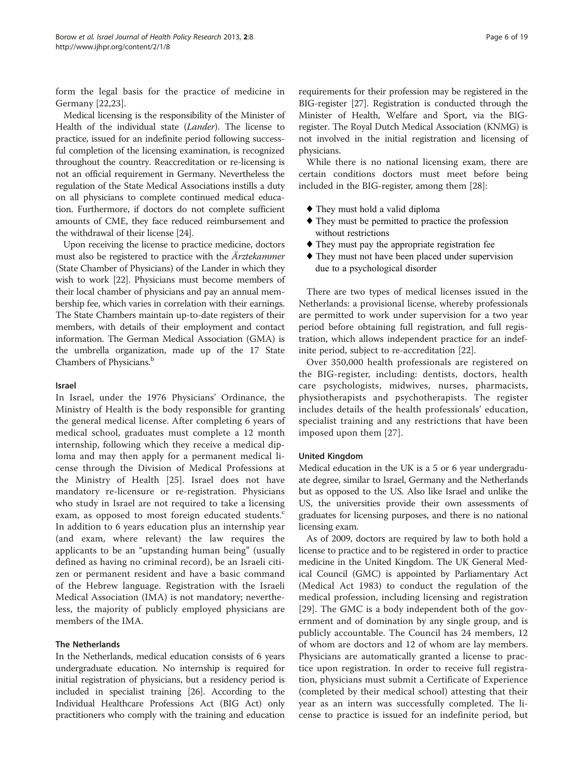form the legal basis for the practice of medicine in Germany [[22,23](#page-18-0)].

Medical licensing is the responsibility of the Minister of Health of the individual state (Lander). The license to practice, issued for an indefinite period following successful completion of the licensing examination, is recognized throughout the country. Reaccreditation or re-licensing is not an official requirement in Germany. Nevertheless the regulation of the State Medical Associations instills a duty on all physicians to complete continued medical education. Furthermore, if doctors do not complete sufficient amounts of CME, they face reduced reimbursement and the withdrawal of their license [[24](#page-18-0)].

Upon receiving the license to practice medicine, doctors must also be registered to practice with the Ärztekammer (State Chamber of Physicians) of the Lander in which they wish to work [\[22\]](#page-18-0). Physicians must become members of their local chamber of physicians and pay an annual membership fee, which varies in correlation with their earnings. The State Chambers maintain up-to-date registers of their members, with details of their employment and contact information. The German Medical Association (GMA) is the umbrella organization, made up of the 17 State Chambers of Physicians.<sup>b</sup>

#### Israel

In Israel, under the 1976 Physicians' Ordinance, the Ministry of Health is the body responsible for granting the general medical license. After completing 6 years of medical school, graduates must complete a 12 month internship, following which they receive a medical diploma and may then apply for a permanent medical license through the Division of Medical Professions at the Ministry of Health [[25\]](#page-18-0). Israel does not have mandatory re-licensure or re-registration. Physicians who study in Israel are not required to take a licensing exam, as opposed to most foreign educated students.<sup>c</sup> In addition to 6 years education plus an internship year (and exam, where relevant) the law requires the applicants to be an "upstanding human being" (usually defined as having no criminal record), be an Israeli citizen or permanent resident and have a basic command of the Hebrew language. Registration with the Israeli Medical Association (IMA) is not mandatory; nevertheless, the majority of publicly employed physicians are members of the IMA.

#### The Netherlands

In the Netherlands, medical education consists of 6 years undergraduate education. No internship is required for initial registration of physicians, but a residency period is included in specialist training [\[26](#page-18-0)]. According to the Individual Healthcare Professions Act (BIG Act) only practitioners who comply with the training and education

requirements for their profession may be registered in the BIG-register [\[27\]](#page-18-0). Registration is conducted through the Minister of Health, Welfare and Sport, via the BIGregister. The Royal Dutch Medical Association (KNMG) is not involved in the initial registration and licensing of physicians.

While there is no national licensing exam, there are certain conditions doctors must meet before being included in the BIG-register, among them [\[28\]](#page-18-0):

- ♦ They must hold a valid diploma
- ♦ They must be permitted to practice the profession without restrictions
- ♦ They must pay the appropriate registration fee
- ♦ They must not have been placed under supervision due to a psychological disorder

There are two types of medical licenses issued in the Netherlands: a provisional license, whereby professionals are permitted to work under supervision for a two year period before obtaining full registration, and full registration, which allows independent practice for an indefinite period, subject to re-accreditation [[22](#page-18-0)].

Over 350,000 health professionals are registered on the BIG-register, including: dentists, doctors, health care psychologists, midwives, nurses, pharmacists, physiotherapists and psychotherapists. The register includes details of the health professionals' education, specialist training and any restrictions that have been imposed upon them [\[27\]](#page-18-0).

# United Kingdom

Medical education in the UK is a 5 or 6 year undergraduate degree, similar to Israel, Germany and the Netherlands but as opposed to the US. Also like Israel and unlike the US, the universities provide their own assessments of graduates for licensing purposes, and there is no national licensing exam.

As of 2009, doctors are required by law to both hold a license to practice and to be registered in order to practice medicine in the United Kingdom. The UK General Medical Council (GMC) is appointed by Parliamentary Act (Medical Act 1983) to conduct the regulation of the medical profession, including licensing and registration [[29](#page-18-0)]. The GMC is a body independent both of the government and of domination by any single group, and is publicly accountable. The Council has 24 members, 12 of whom are doctors and 12 of whom are lay members. Physicians are automatically granted a license to practice upon registration. In order to receive full registration, physicians must submit a Certificate of Experience (completed by their medical school) attesting that their year as an intern was successfully completed. The license to practice is issued for an indefinite period, but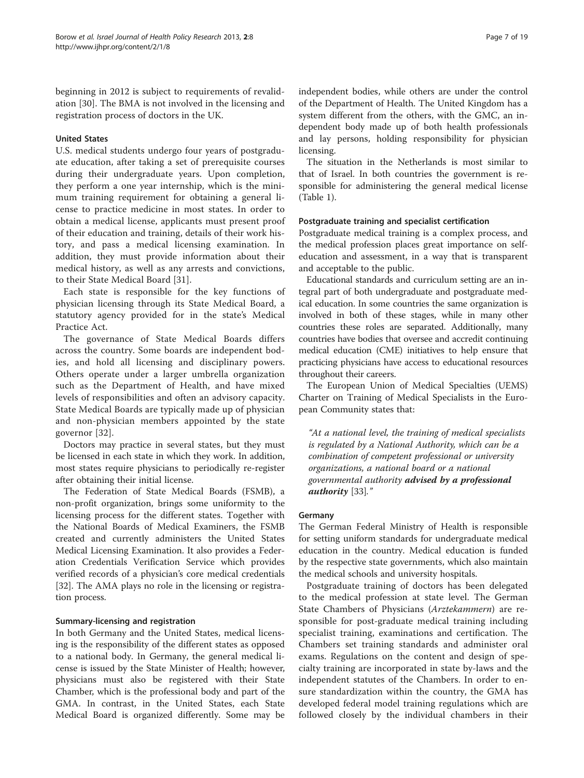beginning in 2012 is subject to requirements of revalidation [[30\]](#page-18-0). The BMA is not involved in the licensing and registration process of doctors in the UK.

# United States

U.S. medical students undergo four years of postgraduate education, after taking a set of prerequisite courses during their undergraduate years. Upon completion, they perform a one year internship, which is the minimum training requirement for obtaining a general license to practice medicine in most states. In order to obtain a medical license, applicants must present proof of their education and training, details of their work history, and pass a medical licensing examination. In addition, they must provide information about their medical history, as well as any arrests and convictions, to their State Medical Board [[31](#page-18-0)].

Each state is responsible for the key functions of physician licensing through its State Medical Board, a statutory agency provided for in the state's Medical Practice Act.

The governance of State Medical Boards differs across the country. Some boards are independent bodies, and hold all licensing and disciplinary powers. Others operate under a larger umbrella organization such as the Department of Health, and have mixed levels of responsibilities and often an advisory capacity. State Medical Boards are typically made up of physician and non-physician members appointed by the state governor [\[32\]](#page-18-0).

Doctors may practice in several states, but they must be licensed in each state in which they work. In addition, most states require physicians to periodically re-register after obtaining their initial license.

The Federation of State Medical Boards (FSMB), a non-profit organization, brings some uniformity to the licensing process for the different states. Together with the National Boards of Medical Examiners, the FSMB created and currently administers the United States Medical Licensing Examination. It also provides a Federation Credentials Verification Service which provides verified records of a physician's core medical credentials [[32\]](#page-18-0). The AMA plays no role in the licensing or registration process.

# Summary-licensing and registration

In both Germany and the United States, medical licensing is the responsibility of the different states as opposed to a national body. In Germany, the general medical license is issued by the State Minister of Health; however, physicians must also be registered with their State Chamber, which is the professional body and part of the GMA. In contrast, in the United States, each State Medical Board is organized differently. Some may be independent bodies, while others are under the control of the Department of Health. The United Kingdom has a system different from the others, with the GMC, an independent body made up of both health professionals and lay persons, holding responsibility for physician licensing.

The situation in the Netherlands is most similar to that of Israel. In both countries the government is responsible for administering the general medical license (Table [1\)](#page-7-0).

# Postgraduate training and specialist certification

Postgraduate medical training is a complex process, and the medical profession places great importance on selfeducation and assessment, in a way that is transparent and acceptable to the public.

Educational standards and curriculum setting are an integral part of both undergraduate and postgraduate medical education. In some countries the same organization is involved in both of these stages, while in many other countries these roles are separated. Additionally, many countries have bodies that oversee and accredit continuing medical education (CME) initiatives to help ensure that practicing physicians have access to educational resources throughout their careers.

The European Union of Medical Specialties (UEMS) Charter on Training of Medical Specialists in the European Community states that:

"At a national level, the training of medical specialists is regulated by a National Authority, which can be a combination of competent professional or university organizations, a national board or a national governmental authority advised by a professional authority [\[33](#page-18-0)]."

# Germany

The German Federal Ministry of Health is responsible for setting uniform standards for undergraduate medical education in the country. Medical education is funded by the respective state governments, which also maintain the medical schools and university hospitals.

Postgraduate training of doctors has been delegated to the medical profession at state level. The German State Chambers of Physicians (Arztekammern) are responsible for post-graduate medical training including specialist training, examinations and certification. The Chambers set training standards and administer oral exams. Regulations on the content and design of specialty training are incorporated in state by-laws and the independent statutes of the Chambers. In order to ensure standardization within the country, the GMA has developed federal model training regulations which are followed closely by the individual chambers in their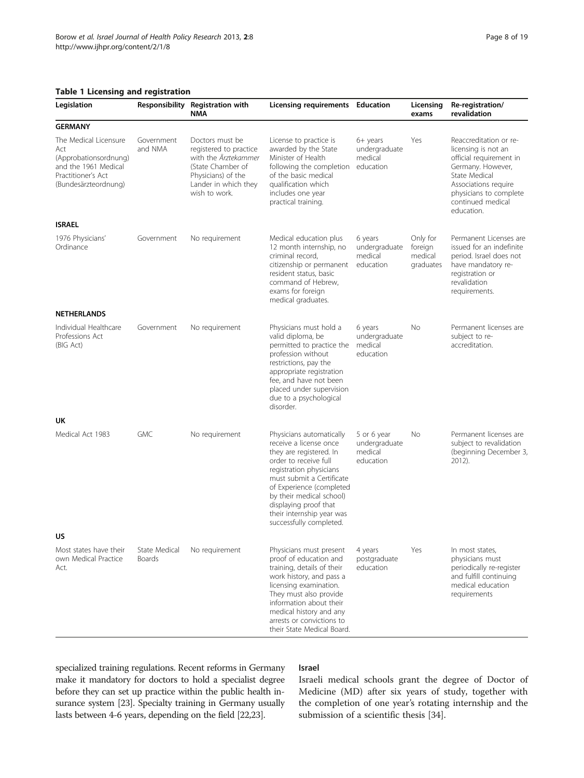#### <span id="page-7-0"></span>Table 1 Licensing and registration

| Legislation                                                                                                                 |                                | Responsibility Registration with<br><b>NMA</b>                                                                                                        | Licensing requirements Education                                                                                                                                                                                                                                                                        |                                                      | Licensing<br>exams                          | Re-registration/<br>revalidation                                                                                                                                                                    |
|-----------------------------------------------------------------------------------------------------------------------------|--------------------------------|-------------------------------------------------------------------------------------------------------------------------------------------------------|---------------------------------------------------------------------------------------------------------------------------------------------------------------------------------------------------------------------------------------------------------------------------------------------------------|------------------------------------------------------|---------------------------------------------|-----------------------------------------------------------------------------------------------------------------------------------------------------------------------------------------------------|
| <b>GERMANY</b>                                                                                                              |                                |                                                                                                                                                       |                                                                                                                                                                                                                                                                                                         |                                                      |                                             |                                                                                                                                                                                                     |
| The Medical Licensure<br>Act<br>(Approbationsordnung)<br>and the 1961 Medical<br>Practitioner's Act<br>(Bundesärzteordnung) | Government<br>and NMA          | Doctors must be<br>registered to practice<br>with the Ärztekammer<br>(State Chamber of<br>Physicians) of the<br>Lander in which they<br>wish to work. | License to practice is<br>awarded by the State<br>Minister of Health<br>following the completion<br>of the basic medical<br>qualification which<br>includes one year<br>practical training.                                                                                                             | 6+ years<br>undergraduate<br>medical<br>education    | Yes                                         | Reaccreditation or re-<br>licensing is not an<br>official requirement in<br>Germany. However,<br>State Medical<br>Associations require<br>physicians to complete<br>continued medical<br>education. |
| <b>ISRAEL</b>                                                                                                               |                                |                                                                                                                                                       |                                                                                                                                                                                                                                                                                                         |                                                      |                                             |                                                                                                                                                                                                     |
| 1976 Physicians'<br>Ordinance                                                                                               | Government                     | No requirement                                                                                                                                        | Medical education plus<br>12 month internship, no<br>criminal record,<br>citizenship or permanent<br>resident status, basic<br>command of Hebrew,<br>exams for foreign<br>medical graduates.                                                                                                            | 6 years<br>undergraduate<br>medical<br>education     | Only for<br>foreign<br>medical<br>graduates | Permanent Licenses are<br>issued for an indefinite<br>period. Israel does not<br>have mandatory re-<br>registration or<br>revalidation<br>requirements.                                             |
| <b>NETHERLANDS</b>                                                                                                          |                                |                                                                                                                                                       |                                                                                                                                                                                                                                                                                                         |                                                      |                                             |                                                                                                                                                                                                     |
| Individual Healthcare<br>Professions Act<br>(BIG Act)                                                                       | Government                     | No requirement                                                                                                                                        | Physicians must hold a<br>valid diploma, be<br>permitted to practice the<br>profession without<br>restrictions, pay the<br>appropriate registration<br>fee, and have not been<br>placed under supervision<br>due to a psychological<br>disorder.                                                        | 6 years<br>undergraduate<br>medical<br>education     | No                                          | Permanent licenses are<br>subject to re-<br>accreditation.                                                                                                                                          |
| UK                                                                                                                          |                                |                                                                                                                                                       |                                                                                                                                                                                                                                                                                                         |                                                      |                                             |                                                                                                                                                                                                     |
| Medical Act 1983                                                                                                            | <b>GMC</b>                     | No requirement                                                                                                                                        | Physicians automatically<br>receive a license once<br>they are registered. In<br>order to receive full<br>registration physicians<br>must submit a Certificate<br>of Experience (completed<br>by their medical school)<br>displaying proof that<br>their internship year was<br>successfully completed. | 5 or 6 year<br>undergraduate<br>medical<br>education | No                                          | Permanent licenses are<br>subject to revalidation<br>(beginning December 3,<br>2012).                                                                                                               |
| US                                                                                                                          |                                |                                                                                                                                                       |                                                                                                                                                                                                                                                                                                         |                                                      |                                             |                                                                                                                                                                                                     |
| Most states have their<br>own Medical Practice<br>Act.                                                                      | State Medical<br><b>Boards</b> | No requirement                                                                                                                                        | Physicians must present<br>proof of education and<br>training, details of their<br>work history, and pass a<br>licensing examination.<br>They must also provide<br>information about their<br>medical history and any<br>arrests or convictions to<br>their State Medical Board.                        | 4 years<br>postgraduate<br>education                 | Yes                                         | In most states,<br>physicians must<br>periodically re-register<br>and fulfill continuing<br>medical education<br>requirements                                                                       |

specialized training regulations. Recent reforms in Germany make it mandatory for doctors to hold a specialist degree before they can set up practice within the public health insurance system [\[23\]](#page-18-0). Specialty training in Germany usually lasts between 4-6 years, depending on the field [[22,23\]](#page-18-0).

# Israel

Israeli medical schools grant the degree of Doctor of Medicine (MD) after six years of study, together with the completion of one year's rotating internship and the submission of a scientific thesis [[34\]](#page-18-0).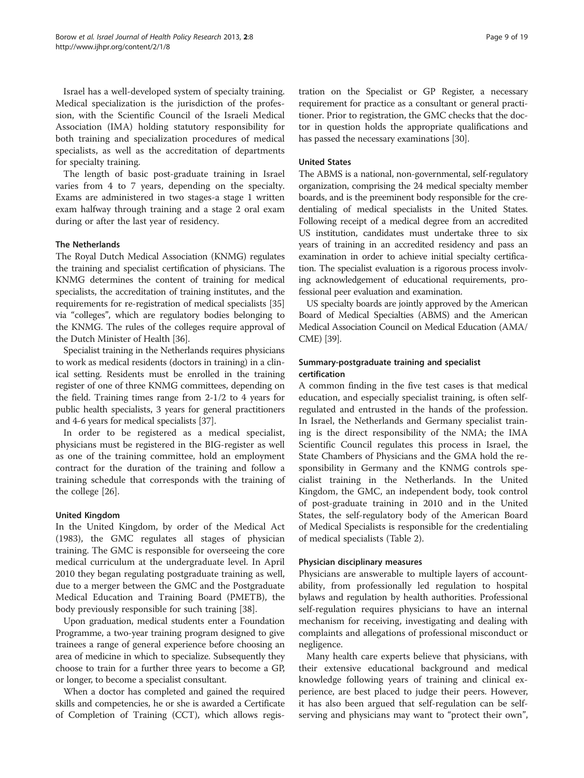Israel has a well-developed system of specialty training. Medical specialization is the jurisdiction of the profession, with the Scientific Council of the Israeli Medical Association (IMA) holding statutory responsibility for both training and specialization procedures of medical specialists, as well as the accreditation of departments for specialty training.

The length of basic post-graduate training in Israel varies from 4 to 7 years, depending on the specialty. Exams are administered in two stages-a stage 1 written exam halfway through training and a stage 2 oral exam during or after the last year of residency.

#### The Netherlands

The Royal Dutch Medical Association (KNMG) regulates the training and specialist certification of physicians. The KNMG determines the content of training for medical specialists, the accreditation of training institutes, and the requirements for re-registration of medical specialists [[35](#page-18-0)] via "colleges", which are regulatory bodies belonging to the KNMG. The rules of the colleges require approval of the Dutch Minister of Health [[36\]](#page-18-0).

Specialist training in the Netherlands requires physicians to work as medical residents (doctors in training) in a clinical setting. Residents must be enrolled in the training register of one of three KNMG committees, depending on the field. Training times range from 2-1/2 to 4 years for public health specialists, 3 years for general practitioners and 4-6 years for medical specialists [[37](#page-18-0)].

In order to be registered as a medical specialist, physicians must be registered in the BIG-register as well as one of the training committee, hold an employment contract for the duration of the training and follow a training schedule that corresponds with the training of the college [[26\]](#page-18-0).

#### United Kingdom

In the United Kingdom, by order of the Medical Act (1983), the GMC regulates all stages of physician training. The GMC is responsible for overseeing the core medical curriculum at the undergraduate level. In April 2010 they began regulating postgraduate training as well, due to a merger between the GMC and the Postgraduate Medical Education and Training Board (PMETB), the body previously responsible for such training [\[38](#page-18-0)].

Upon graduation, medical students enter a Foundation Programme, a two-year training program designed to give trainees a range of general experience before choosing an area of medicine in which to specialize. Subsequently they choose to train for a further three years to become a GP, or longer, to become a specialist consultant.

When a doctor has completed and gained the required skills and competencies, he or she is awarded a Certificate of Completion of Training (CCT), which allows registration on the Specialist or GP Register, a necessary requirement for practice as a consultant or general practitioner. Prior to registration, the GMC checks that the doctor in question holds the appropriate qualifications and has passed the necessary examinations [\[30\]](#page-18-0).

#### United States

The ABMS is a national, non-governmental, self-regulatory organization, comprising the 24 medical specialty member boards, and is the preeminent body responsible for the credentialing of medical specialists in the United States. Following receipt of a medical degree from an accredited US institution, candidates must undertake three to six years of training in an accredited residency and pass an examination in order to achieve initial specialty certification. The specialist evaluation is a rigorous process involving acknowledgement of educational requirements, professional peer evaluation and examination.

US specialty boards are jointly approved by the American Board of Medical Specialties (ABMS) and the American Medical Association Council on Medical Education (AMA/ CME) [\[39](#page-18-0)].

# Summary-postgraduate training and specialist certification

A common finding in the five test cases is that medical education, and especially specialist training, is often selfregulated and entrusted in the hands of the profession. In Israel, the Netherlands and Germany specialist training is the direct responsibility of the NMA; the IMA Scientific Council regulates this process in Israel, the State Chambers of Physicians and the GMA hold the responsibility in Germany and the KNMG controls specialist training in the Netherlands. In the United Kingdom, the GMC, an independent body, took control of post-graduate training in 2010 and in the United States, the self-regulatory body of the American Board of Medical Specialists is responsible for the credentialing of medical specialists (Table [2](#page-9-0)).

#### Physician disciplinary measures

Physicians are answerable to multiple layers of accountability, from professionally led regulation to hospital bylaws and regulation by health authorities. Professional self-regulation requires physicians to have an internal mechanism for receiving, investigating and dealing with complaints and allegations of professional misconduct or negligence.

Many health care experts believe that physicians, with their extensive educational background and medical knowledge following years of training and clinical experience, are best placed to judge their peers. However, it has also been argued that self-regulation can be selfserving and physicians may want to "protect their own",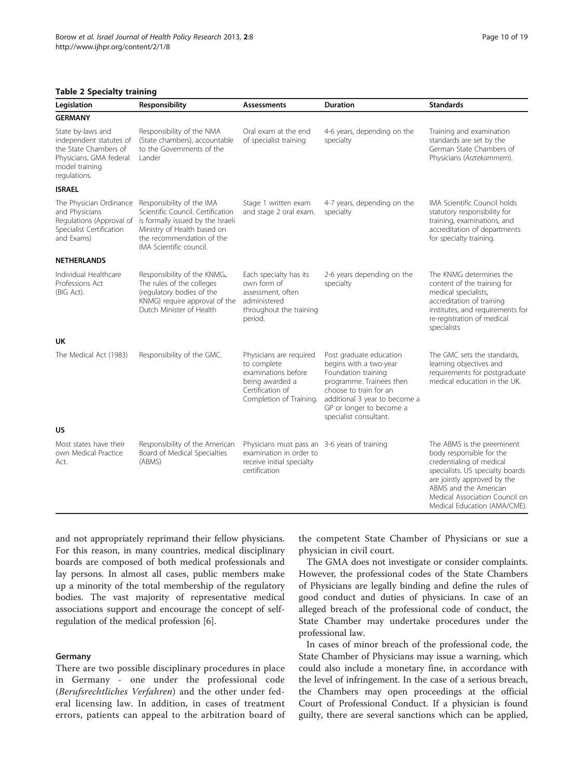#### <span id="page-9-0"></span>Table 2 Specialty training

| Legislation                                                                                                                        | Responsibility                                                                                                                                                                                                      | Assessments                                                                                                                     | <b>Duration</b>                                                                                                                                                                                                       | <b>Standards</b>                                                                                                                                                                                                                                 |
|------------------------------------------------------------------------------------------------------------------------------------|---------------------------------------------------------------------------------------------------------------------------------------------------------------------------------------------------------------------|---------------------------------------------------------------------------------------------------------------------------------|-----------------------------------------------------------------------------------------------------------------------------------------------------------------------------------------------------------------------|--------------------------------------------------------------------------------------------------------------------------------------------------------------------------------------------------------------------------------------------------|
| <b>GERMANY</b>                                                                                                                     |                                                                                                                                                                                                                     |                                                                                                                                 |                                                                                                                                                                                                                       |                                                                                                                                                                                                                                                  |
| State by-laws and<br>independent statutes of<br>the State Chambers of<br>Physicians. GMA federal<br>model training<br>regulations. | Responsibility of the NMA<br>(State chambers), accountable<br>to the Governments of the<br>Lander                                                                                                                   | Oral exam at the end<br>of specialist training                                                                                  | 4-6 years, depending on the<br>specialty                                                                                                                                                                              | Training and examination<br>standards are set by the<br>German State Chambers of<br>Physicians (Arztekammern).                                                                                                                                   |
| <b>ISRAEL</b>                                                                                                                      |                                                                                                                                                                                                                     |                                                                                                                                 |                                                                                                                                                                                                                       |                                                                                                                                                                                                                                                  |
| The Physician Ordinance<br>and Physicians<br>Specialist Certification<br>and Exams)                                                | Responsibility of the IMA<br>Scientific Council. Certification<br>Regulations (Approval of is formally issued by the Israeli<br>Ministry of Health based on<br>the recommendation of the<br>IMA Scientific council. | Stage 1 written exam<br>and stage 2 oral exam.                                                                                  | 4-7 years, depending on the<br>specialty                                                                                                                                                                              | IMA Scientific Council holds<br>statutory responsibility for<br>training, examinations, and<br>accreditation of departments<br>for specialty training.                                                                                           |
| <b>NETHERLANDS</b>                                                                                                                 |                                                                                                                                                                                                                     |                                                                                                                                 |                                                                                                                                                                                                                       |                                                                                                                                                                                                                                                  |
| Individual Healthcare<br>Professions Act<br>(BIG Act).                                                                             | Responsibility of the KNMG.<br>The rules of the colleges<br>(regulatory bodies of the<br>KNMG) require approval of the<br>Dutch Minister of Health                                                                  | Each specialty has its<br>own form of<br>assessment, often<br>administered<br>throughout the training<br>period.                | 2-6 years depending on the<br>specialty                                                                                                                                                                               | The KNMG determines the<br>content of the training for<br>medical specialists,<br>accreditation of training<br>institutes, and requirements for<br>re-registration of medical<br>specialists                                                     |
| UK                                                                                                                                 |                                                                                                                                                                                                                     |                                                                                                                                 |                                                                                                                                                                                                                       |                                                                                                                                                                                                                                                  |
| The Medical Act (1983)                                                                                                             | Responsibility of the GMC.                                                                                                                                                                                          | Physicians are required<br>to complete<br>examinations before<br>being awarded a<br>Certification of<br>Completion of Training. | Post graduate education<br>begins with a two-year<br>Foundation training<br>programme. Trainees then<br>choose to train for an<br>additional 3 year to become a<br>GP or longer to become a<br>specialist consultant. | The GMC sets the standards,<br>learning objectives and<br>requirements for postgraduate<br>medical education in the UK.                                                                                                                          |
| US                                                                                                                                 |                                                                                                                                                                                                                     |                                                                                                                                 |                                                                                                                                                                                                                       |                                                                                                                                                                                                                                                  |
| Most states have their<br>own Medical Practice<br>Act.                                                                             | Responsibility of the American<br>Board of Medical Specialties<br>(ABMS)                                                                                                                                            | Physicians must pass an 3-6 years of training<br>examination in order to<br>receive initial specialty<br>certification          |                                                                                                                                                                                                                       | The ABMS is the preeminent<br>body responsible for the<br>credentialing of medical<br>specialists. US specialty boards<br>are jointly approved by the<br>ABMS and the American<br>Medical Association Council on<br>Medical Education (AMA/CME). |

and not appropriately reprimand their fellow physicians. For this reason, in many countries, medical disciplinary boards are composed of both medical professionals and lay persons. In almost all cases, public members make up a minority of the total membership of the regulatory bodies. The vast majority of representative medical associations support and encourage the concept of selfregulation of the medical profession [\[6](#page-18-0)].

#### Germany

There are two possible disciplinary procedures in place in Germany - one under the professional code (Berufsrechtliches Verfahren) and the other under federal licensing law. In addition, in cases of treatment errors, patients can appeal to the arbitration board of

the competent State Chamber of Physicians or sue a physician in civil court.

The GMA does not investigate or consider complaints. However, the professional codes of the State Chambers of Physicians are legally binding and define the rules of good conduct and duties of physicians. In case of an alleged breach of the professional code of conduct, the State Chamber may undertake procedures under the professional law.

In cases of minor breach of the professional code, the State Chamber of Physicians may issue a warning, which could also include a monetary fine, in accordance with the level of infringement. In the case of a serious breach, the Chambers may open proceedings at the official Court of Professional Conduct. If a physician is found guilty, there are several sanctions which can be applied,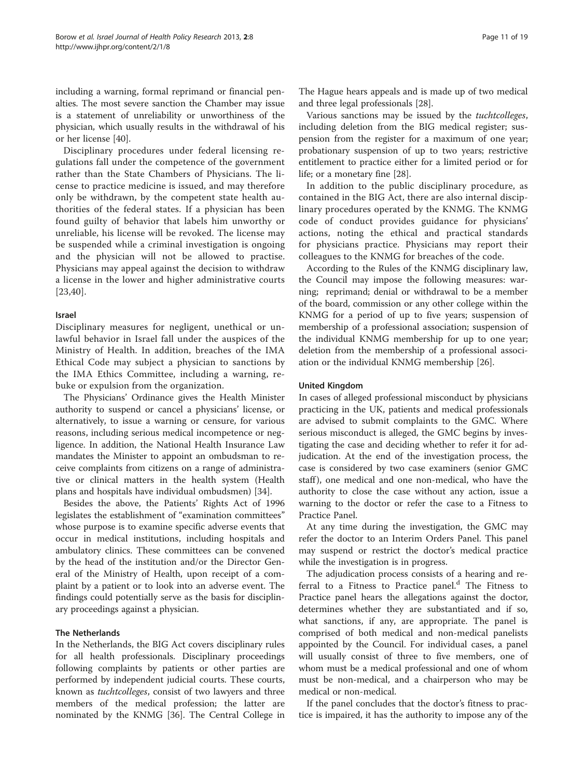including a warning, formal reprimand or financial penalties. The most severe sanction the Chamber may issue is a statement of unreliability or unworthiness of the physician, which usually results in the withdrawal of his or her license [\[40](#page-18-0)].

Disciplinary procedures under federal licensing regulations fall under the competence of the government rather than the State Chambers of Physicians. The license to practice medicine is issued, and may therefore only be withdrawn, by the competent state health authorities of the federal states. If a physician has been found guilty of behavior that labels him unworthy or unreliable, his license will be revoked. The license may be suspended while a criminal investigation is ongoing and the physician will not be allowed to practise. Physicians may appeal against the decision to withdraw a license in the lower and higher administrative courts [[23,40\]](#page-18-0).

# Israel

Disciplinary measures for negligent, unethical or unlawful behavior in Israel fall under the auspices of the Ministry of Health. In addition, breaches of the IMA Ethical Code may subject a physician to sanctions by the IMA Ethics Committee, including a warning, rebuke or expulsion from the organization.

The Physicians' Ordinance gives the Health Minister authority to suspend or cancel a physicians' license, or alternatively, to issue a warning or censure, for various reasons, including serious medical incompetence or negligence. In addition, the National Health Insurance Law mandates the Minister to appoint an ombudsman to receive complaints from citizens on a range of administrative or clinical matters in the health system (Health plans and hospitals have individual ombudsmen) [\[34](#page-18-0)].

Besides the above, the Patients' Rights Act of 1996 legislates the establishment of "examination committees" whose purpose is to examine specific adverse events that occur in medical institutions, including hospitals and ambulatory clinics. These committees can be convened by the head of the institution and/or the Director General of the Ministry of Health, upon receipt of a complaint by a patient or to look into an adverse event. The findings could potentially serve as the basis for disciplinary proceedings against a physician.

# The Netherlands

In the Netherlands, the BIG Act covers disciplinary rules for all health professionals. Disciplinary proceedings following complaints by patients or other parties are performed by independent judicial courts. These courts, known as tuchtcolleges, consist of two lawyers and three members of the medical profession; the latter are nominated by the KNMG [[36](#page-18-0)]. The Central College in

The Hague hears appeals and is made up of two medical and three legal professionals [[28\]](#page-18-0).

Various sanctions may be issued by the tuchtcolleges, including deletion from the BIG medical register; suspension from the register for a maximum of one year; probationary suspension of up to two years; restrictive entitlement to practice either for a limited period or for life; or a monetary fine [\[28](#page-18-0)].

In addition to the public disciplinary procedure, as contained in the BIG Act, there are also internal disciplinary procedures operated by the KNMG. The KNMG code of conduct provides guidance for physicians' actions, noting the ethical and practical standards for physicians practice. Physicians may report their colleagues to the KNMG for breaches of the code.

According to the Rules of the KNMG disciplinary law, the Council may impose the following measures: warning; reprimand; denial or withdrawal to be a member of the board, commission or any other college within the KNMG for a period of up to five years; suspension of membership of a professional association; suspension of the individual KNMG membership for up to one year; deletion from the membership of a professional association or the individual KNMG membership [\[26](#page-18-0)].

#### United Kingdom

In cases of alleged professional misconduct by physicians practicing in the UK, patients and medical professionals are advised to submit complaints to the GMC. Where serious misconduct is alleged, the GMC begins by investigating the case and deciding whether to refer it for adjudication. At the end of the investigation process, the case is considered by two case examiners (senior GMC staff), one medical and one non-medical, who have the authority to close the case without any action, issue a warning to the doctor or refer the case to a Fitness to Practice Panel.

At any time during the investigation, the GMC may refer the doctor to an Interim Orders Panel. This panel may suspend or restrict the doctor's medical practice while the investigation is in progress.

The adjudication process consists of a hearing and referral to a Fitness to Practice panel.<sup>d</sup> The Fitness to Practice panel hears the allegations against the doctor, determines whether they are substantiated and if so, what sanctions, if any, are appropriate. The panel is comprised of both medical and non-medical panelists appointed by the Council. For individual cases, a panel will usually consist of three to five members, one of whom must be a medical professional and one of whom must be non-medical, and a chairperson who may be medical or non-medical.

If the panel concludes that the doctor's fitness to practice is impaired, it has the authority to impose any of the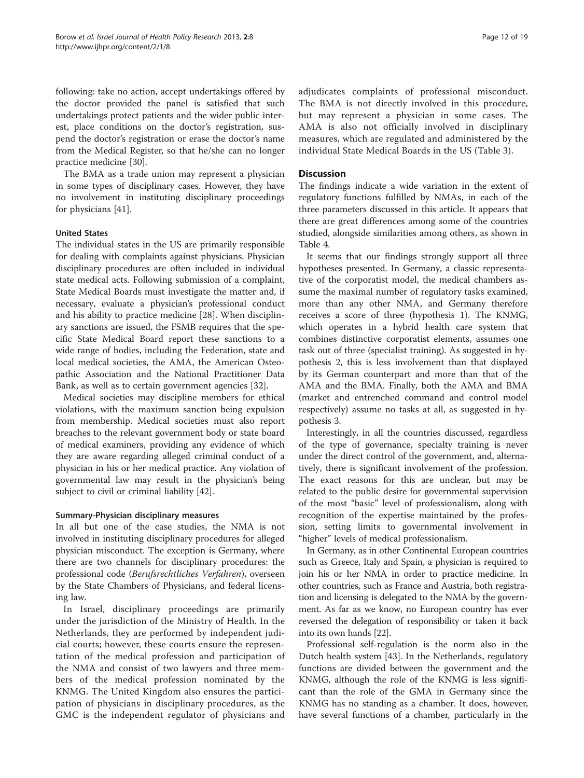following: take no action, accept undertakings offered by the doctor provided the panel is satisfied that such undertakings protect patients and the wider public interest, place conditions on the doctor's registration, suspend the doctor's registration or erase the doctor's name from the Medical Register, so that he/she can no longer practice medicine [\[30\]](#page-18-0).

The BMA as a trade union may represent a physician in some types of disciplinary cases. However, they have no involvement in instituting disciplinary proceedings for physicians [\[41](#page-18-0)].

#### United States

The individual states in the US are primarily responsible for dealing with complaints against physicians. Physician disciplinary procedures are often included in individual state medical acts. Following submission of a complaint, State Medical Boards must investigate the matter and, if necessary, evaluate a physician's professional conduct and his ability to practice medicine [[28](#page-18-0)]. When disciplinary sanctions are issued, the FSMB requires that the specific State Medical Board report these sanctions to a wide range of bodies, including the Federation, state and local medical societies, the AMA, the American Osteopathic Association and the National Practitioner Data Bank, as well as to certain government agencies [[32\]](#page-18-0).

Medical societies may discipline members for ethical violations, with the maximum sanction being expulsion from membership. Medical societies must also report breaches to the relevant government body or state board of medical examiners, providing any evidence of which they are aware regarding alleged criminal conduct of a physician in his or her medical practice. Any violation of governmental law may result in the physician's being subject to civil or criminal liability [\[42](#page-18-0)].

#### Summary-Physician disciplinary measures

In all but one of the case studies, the NMA is not involved in instituting disciplinary procedures for alleged physician misconduct. The exception is Germany, where there are two channels for disciplinary procedures: the professional code (Berufsrechtliches Verfahren), overseen by the State Chambers of Physicians, and federal licensing law.

In Israel, disciplinary proceedings are primarily under the jurisdiction of the Ministry of Health. In the Netherlands, they are performed by independent judicial courts; however, these courts ensure the representation of the medical profession and participation of the NMA and consist of two lawyers and three members of the medical profession nominated by the KNMG. The United Kingdom also ensures the participation of physicians in disciplinary procedures, as the GMC is the independent regulator of physicians and

adjudicates complaints of professional misconduct. The BMA is not directly involved in this procedure, but may represent a physician in some cases. The AMA is also not officially involved in disciplinary measures, which are regulated and administered by the individual State Medical Boards in the US (Table [3](#page-12-0)).

#### **Discussion**

The findings indicate a wide variation in the extent of regulatory functions fulfilled by NMAs, in each of the three parameters discussed in this article. It appears that there are great differences among some of the countries studied, alongside similarities among others, as shown in Table [4.](#page-13-0)

It seems that our findings strongly support all three hypotheses presented. In Germany, a classic representative of the corporatist model, the medical chambers assume the maximal number of regulatory tasks examined, more than any other NMA, and Germany therefore receives a score of three (hypothesis 1). The KNMG, which operates in a hybrid health care system that combines distinctive corporatist elements, assumes one task out of three (specialist training). As suggested in hypothesis 2, this is less involvement than that displayed by its German counterpart and more than that of the AMA and the BMA. Finally, both the AMA and BMA (market and entrenched command and control model respectively) assume no tasks at all, as suggested in hypothesis 3.

Interestingly, in all the countries discussed, regardless of the type of governance, specialty training is never under the direct control of the government, and, alternatively, there is significant involvement of the profession. The exact reasons for this are unclear, but may be related to the public desire for governmental supervision of the most "basic" level of professionalism, along with recognition of the expertise maintained by the profession, setting limits to governmental involvement in "higher" levels of medical professionalism.

In Germany, as in other Continental European countries such as Greece, Italy and Spain, a physician is required to join his or her NMA in order to practice medicine. In other countries, such as France and Austria, both registration and licensing is delegated to the NMA by the government. As far as we know, no European country has ever reversed the delegation of responsibility or taken it back into its own hands [\[22\]](#page-18-0).

Professional self-regulation is the norm also in the Dutch health system [[43](#page-18-0)]. In the Netherlands, regulatory functions are divided between the government and the KNMG, although the role of the KNMG is less significant than the role of the GMA in Germany since the KNMG has no standing as a chamber. It does, however, have several functions of a chamber, particularly in the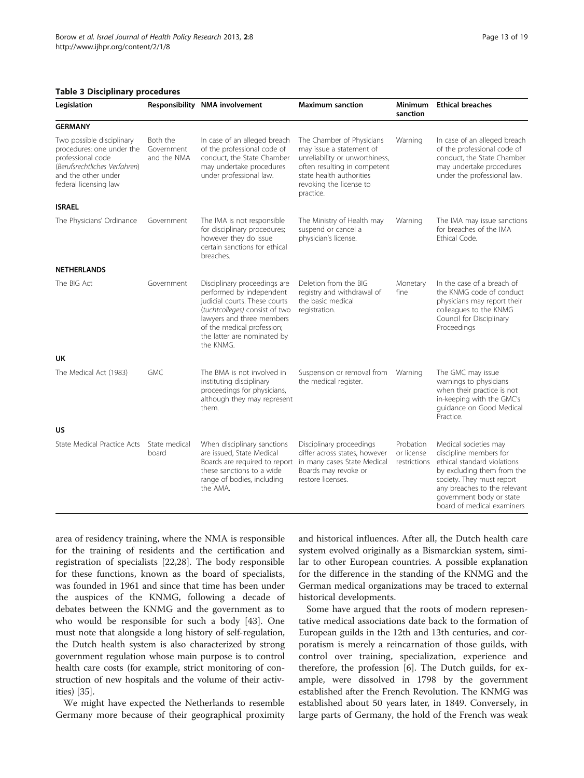#### <span id="page-12-0"></span>Table 3 Disciplinary procedures

| Legislation                                                                                                                                                  |                                       | Responsibility NMA involvement                                                                                                                                                                                                     | <b>Maximum sanction</b>                                                                                                                                                                     | <b>Minimum</b><br>sanction              | <b>Ethical breaches</b>                                                                                                                                    |
|--------------------------------------------------------------------------------------------------------------------------------------------------------------|---------------------------------------|------------------------------------------------------------------------------------------------------------------------------------------------------------------------------------------------------------------------------------|---------------------------------------------------------------------------------------------------------------------------------------------------------------------------------------------|-----------------------------------------|------------------------------------------------------------------------------------------------------------------------------------------------------------|
| <b>GERMANY</b>                                                                                                                                               |                                       |                                                                                                                                                                                                                                    |                                                                                                                                                                                             |                                         |                                                                                                                                                            |
| Two possible disciplinary<br>procedures: one under the<br>professional code<br>(Berufsrechtliches Verfahren)<br>and the other under<br>federal licensing law | Both the<br>Government<br>and the NMA | In case of an alleged breach<br>of the professional code of<br>conduct, the State Chamber<br>may undertake procedures<br>under professional law.                                                                                   | The Chamber of Physicians<br>may issue a statement of<br>unreliability or unworthiness,<br>often resulting in competent<br>state health authorities<br>revoking the license to<br>practice. | Warning                                 | In case of an alleged breach<br>of the professional code of<br>conduct, the State Chamber<br>may undertake procedures<br>under the professional law.       |
| <b>ISRAEL</b>                                                                                                                                                |                                       |                                                                                                                                                                                                                                    |                                                                                                                                                                                             |                                         |                                                                                                                                                            |
| The Physicians' Ordinance                                                                                                                                    | Government                            | The IMA is not responsible<br>for disciplinary procedures;<br>however they do issue<br>certain sanctions for ethical<br>breaches.                                                                                                  | The Ministry of Health may<br>suspend or cancel a<br>physician's license.                                                                                                                   | Warning                                 | The IMA may issue sanctions<br>for breaches of the IMA<br>Ethical Code.                                                                                    |
| <b>NETHERLANDS</b>                                                                                                                                           |                                       |                                                                                                                                                                                                                                    |                                                                                                                                                                                             |                                         |                                                                                                                                                            |
| The BIG Act                                                                                                                                                  | Government                            | Disciplinary proceedings are<br>performed by independent<br>judicial courts. These courts<br>(tuchtcolleges) consist of two<br>lawyers and three members<br>of the medical profession;<br>the latter are nominated by<br>the KNMG. | Deletion from the BIG<br>registry and withdrawal of<br>the basic medical<br>registration.                                                                                                   | Monetary<br>fine                        | In the case of a breach of<br>the KNMG code of conduct<br>physicians may report their<br>colleagues to the KNMG<br>Council for Disciplinary<br>Proceedings |
| <b>UK</b>                                                                                                                                                    |                                       |                                                                                                                                                                                                                                    |                                                                                                                                                                                             |                                         |                                                                                                                                                            |
| The Medical Act (1983)                                                                                                                                       | <b>GMC</b>                            | The BMA is not involved in<br>instituting disciplinary<br>proceedings for physicians,<br>although they may represent<br>them.                                                                                                      | Suspension or removal from<br>the medical register.                                                                                                                                         | Warning                                 | The GMC may issue<br>warnings to physicians<br>when their practice is not<br>in-keeping with the GMC's<br>quidance on Good Medical<br>Practice.            |
| <b>US</b>                                                                                                                                                    |                                       |                                                                                                                                                                                                                                    |                                                                                                                                                                                             |                                         |                                                                                                                                                            |
| State Medical Practice Acts                                                                                                                                  | State medical<br>board                | When disciplinary sanctions<br>are issued, State Medical<br>Boards are required to report<br>these sanctions to a wide<br>range of bodies, including                                                                               | Disciplinary proceedings<br>differ across states, however<br>in many cases State Medical<br>Boards may revoke or<br>restore licenses.                                                       | Probation<br>or license<br>restrictions | Medical societies may<br>discipline members for<br>ethical standard violations<br>by excluding them from the<br>society. They must report                  |

area of residency training, where the NMA is responsible for the training of residents and the certification and registration of specialists [\[22,28](#page-18-0)]. The body responsible for these functions, known as the board of specialists, was founded in 1961 and since that time has been under the auspices of the KNMG, following a decade of debates between the KNMG and the government as to who would be responsible for such a body [[43\]](#page-18-0). One must note that alongside a long history of self-regulation, the Dutch health system is also characterized by strong government regulation whose main purpose is to control health care costs (for example, strict monitoring of construction of new hospitals and the volume of their activities) [[35](#page-18-0)].

the AMA.

We might have expected the Netherlands to resemble Germany more because of their geographical proximity

and historical influences. After all, the Dutch health care system evolved originally as a Bismarckian system, similar to other European countries. A possible explanation for the difference in the standing of the KNMG and the German medical organizations may be traced to external historical developments.

any breaches to the relevant government body or state board of medical examiners

Some have argued that the roots of modern representative medical associations date back to the formation of European guilds in the 12th and 13th centuries, and corporatism is merely a reincarnation of those guilds, with control over training, specialization, experience and therefore, the profession [[6\]](#page-18-0). The Dutch guilds, for example, were dissolved in 1798 by the government established after the French Revolution. The KNMG was established about 50 years later, in 1849. Conversely, in large parts of Germany, the hold of the French was weak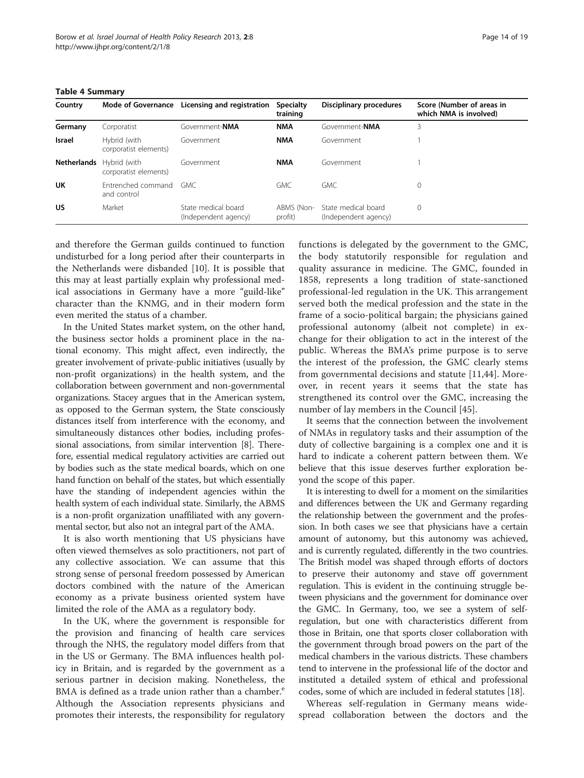<span id="page-13-0"></span>

| <b>Table 4 Summary</b> |  |  |  |  |  |  |
|------------------------|--|--|--|--|--|--|
|------------------------|--|--|--|--|--|--|

| Country            |                                       | Mode of Governance Licensing and registration | <b>Specialty</b><br>training | Disciplinary procedures                     | Score (Number of areas in<br>which NMA is involved) |
|--------------------|---------------------------------------|-----------------------------------------------|------------------------------|---------------------------------------------|-----------------------------------------------------|
| Germany            | Corporatist                           | Government-NMA                                | <b>NMA</b>                   | Government-NMA                              | 3                                                   |
| Israel             | Hybrid (with<br>corporatist elements) | Government                                    | <b>NMA</b>                   | Government                                  |                                                     |
| <b>Netherlands</b> | Hybrid (with<br>corporatist elements) | Government                                    | <b>NMA</b>                   | Government                                  |                                                     |
| UK                 | Entrenched command<br>and control     | GMC                                           | <b>GMC</b>                   | GMC.                                        | 0                                                   |
| US                 | Market                                | State medical board<br>(Independent agency)   | ABMS (Non-<br>profit)        | State medical board<br>(Independent agency) | 0                                                   |

and therefore the German guilds continued to function undisturbed for a long period after their counterparts in the Netherlands were disbanded [[10](#page-18-0)]. It is possible that this may at least partially explain why professional medical associations in Germany have a more "guild-like" character than the KNMG, and in their modern form even merited the status of a chamber.

In the United States market system, on the other hand, the business sector holds a prominent place in the national economy. This might affect, even indirectly, the greater involvement of private-public initiatives (usually by non-profit organizations) in the health system, and the collaboration between government and non-governmental organizations. Stacey argues that in the American system, as opposed to the German system, the State consciously distances itself from interference with the economy, and simultaneously distances other bodies, including professional associations, from similar intervention [\[8\]](#page-18-0). Therefore, essential medical regulatory activities are carried out by bodies such as the state medical boards, which on one hand function on behalf of the states, but which essentially have the standing of independent agencies within the health system of each individual state. Similarly, the ABMS is a non-profit organization unaffiliated with any governmental sector, but also not an integral part of the AMA.

It is also worth mentioning that US physicians have often viewed themselves as solo practitioners, not part of any collective association. We can assume that this strong sense of personal freedom possessed by American doctors combined with the nature of the American economy as a private business oriented system have limited the role of the AMA as a regulatory body.

In the UK, where the government is responsible for the provision and financing of health care services through the NHS, the regulatory model differs from that in the US or Germany. The BMA influences health policy in Britain, and is regarded by the government as a serious partner in decision making. Nonetheless, the BMA is defined as a trade union rather than a chamber.<sup>e</sup> Although the Association represents physicians and promotes their interests, the responsibility for regulatory functions is delegated by the government to the GMC, the body statutorily responsible for regulation and quality assurance in medicine. The GMC, founded in 1858, represents a long tradition of state-sanctioned professional-led regulation in the UK. This arrangement served both the medical profession and the state in the frame of a socio-political bargain; the physicians gained professional autonomy (albeit not complete) in exchange for their obligation to act in the interest of the public. Whereas the BMA's prime purpose is to serve the interest of the profession, the GMC clearly stems from governmental decisions and statute [[11,44\]](#page-18-0). Moreover, in recent years it seems that the state has strengthened its control over the GMC, increasing the number of lay members in the Council [[45\]](#page-18-0).

It seems that the connection between the involvement of NMAs in regulatory tasks and their assumption of the duty of collective bargaining is a complex one and it is hard to indicate a coherent pattern between them. We believe that this issue deserves further exploration beyond the scope of this paper.

It is interesting to dwell for a moment on the similarities and differences between the UK and Germany regarding the relationship between the government and the profession. In both cases we see that physicians have a certain amount of autonomy, but this autonomy was achieved, and is currently regulated, differently in the two countries. The British model was shaped through efforts of doctors to preserve their autonomy and stave off government regulation. This is evident in the continuing struggle between physicians and the government for dominance over the GMC. In Germany, too, we see a system of selfregulation, but one with characteristics different from those in Britain, one that sports closer collaboration with the government through broad powers on the part of the medical chambers in the various districts. These chambers tend to intervene in the professional life of the doctor and instituted a detailed system of ethical and professional codes, some of which are included in federal statutes [\[18](#page-18-0)].

Whereas self-regulation in Germany means widespread collaboration between the doctors and the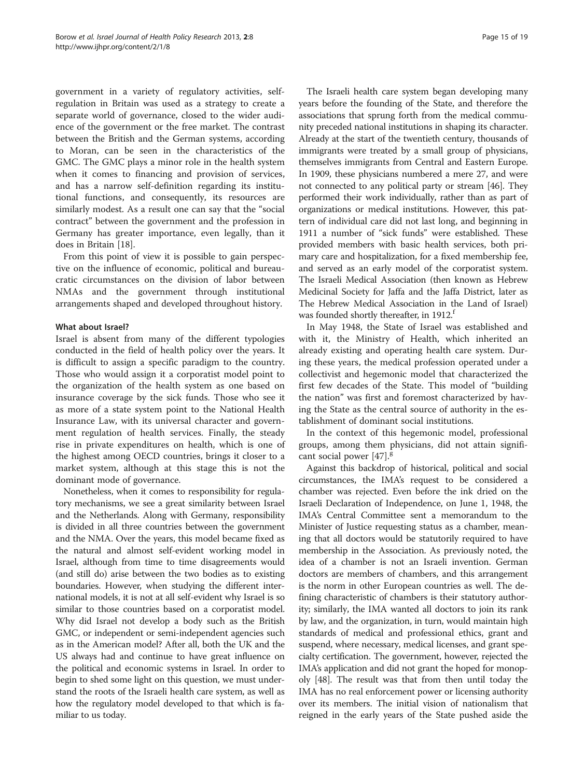government in a variety of regulatory activities, selfregulation in Britain was used as a strategy to create a separate world of governance, closed to the wider audience of the government or the free market. The contrast between the British and the German systems, according to Moran, can be seen in the characteristics of the GMC. The GMC plays a minor role in the health system when it comes to financing and provision of services, and has a narrow self-definition regarding its institutional functions, and consequently, its resources are similarly modest. As a result one can say that the "social contract" between the government and the profession in Germany has greater importance, even legally, than it does in Britain [[18\]](#page-18-0).

From this point of view it is possible to gain perspective on the influence of economic, political and bureaucratic circumstances on the division of labor between NMAs and the government through institutional arrangements shaped and developed throughout history.

#### What about Israel?

Israel is absent from many of the different typologies conducted in the field of health policy over the years. It is difficult to assign a specific paradigm to the country. Those who would assign it a corporatist model point to the organization of the health system as one based on insurance coverage by the sick funds. Those who see it as more of a state system point to the National Health Insurance Law, with its universal character and government regulation of health services. Finally, the steady rise in private expenditures on health, which is one of the highest among OECD countries, brings it closer to a market system, although at this stage this is not the dominant mode of governance.

Nonetheless, when it comes to responsibility for regulatory mechanisms, we see a great similarity between Israel and the Netherlands. Along with Germany, responsibility is divided in all three countries between the government and the NMA. Over the years, this model became fixed as the natural and almost self-evident working model in Israel, although from time to time disagreements would (and still do) arise between the two bodies as to existing boundaries. However, when studying the different international models, it is not at all self-evident why Israel is so similar to those countries based on a corporatist model. Why did Israel not develop a body such as the British GMC, or independent or semi-independent agencies such as in the American model? After all, both the UK and the US always had and continue to have great influence on the political and economic systems in Israel. In order to begin to shed some light on this question, we must understand the roots of the Israeli health care system, as well as how the regulatory model developed to that which is familiar to us today.

The Israeli health care system began developing many years before the founding of the State, and therefore the associations that sprung forth from the medical community preceded national institutions in shaping its character. Already at the start of the twentieth century, thousands of immigrants were treated by a small group of physicians, themselves immigrants from Central and Eastern Europe. In 1909, these physicians numbered a mere 27, and were not connected to any political party or stream [\[46\]](#page-18-0). They performed their work individually, rather than as part of organizations or medical institutions. However, this pattern of individual care did not last long, and beginning in 1911 a number of "sick funds" were established. These provided members with basic health services, both primary care and hospitalization, for a fixed membership fee, and served as an early model of the corporatist system. The Israeli Medical Association (then known as Hebrew Medicinal Society for Jaffa and the Jaffa District, later as The Hebrew Medical Association in the Land of Israel) was founded shortly thereafter, in 1912.<sup>f</sup>

In May 1948, the State of Israel was established and with it, the Ministry of Health, which inherited an already existing and operating health care system. During these years, the medical profession operated under a collectivist and hegemonic model that characterized the first few decades of the State. This model of "building the nation" was first and foremost characterized by having the State as the central source of authority in the establishment of dominant social institutions.

In the context of this hegemonic model, professional groups, among them physicians, did not attain significant social power  $[47].<sup>g</sup>$  $[47].<sup>g</sup>$ 

Against this backdrop of historical, political and social circumstances, the IMA's request to be considered a chamber was rejected. Even before the ink dried on the Israeli Declaration of Independence, on June 1, 1948, the IMA's Central Committee sent a memorandum to the Minister of Justice requesting status as a chamber, meaning that all doctors would be statutorily required to have membership in the Association. As previously noted, the idea of a chamber is not an Israeli invention. German doctors are members of chambers, and this arrangement is the norm in other European countries as well. The defining characteristic of chambers is their statutory authority; similarly, the IMA wanted all doctors to join its rank by law, and the organization, in turn, would maintain high standards of medical and professional ethics, grant and suspend, where necessary, medical licenses, and grant specialty certification. The government, however, rejected the IMA's application and did not grant the hoped for monopoly [\[48\]](#page-18-0). The result was that from then until today the IMA has no real enforcement power or licensing authority over its members. The initial vision of nationalism that reigned in the early years of the State pushed aside the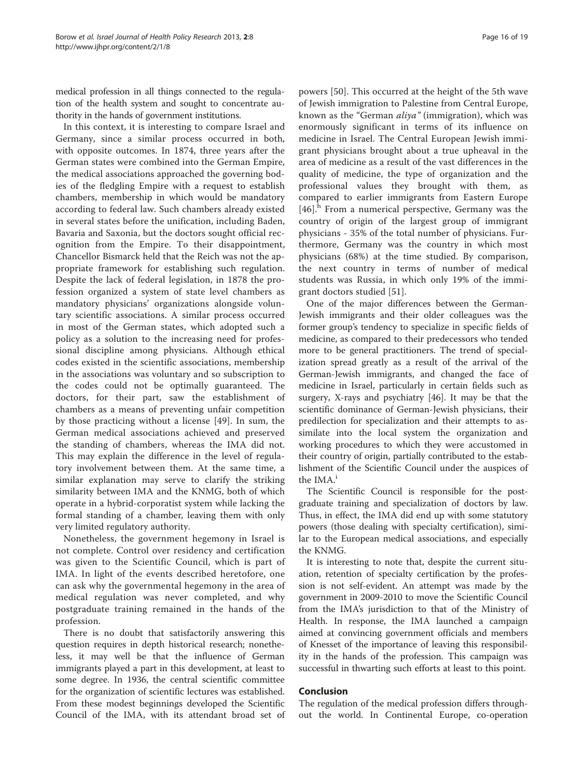medical profession in all things connected to the regulation of the health system and sought to concentrate authority in the hands of government institutions.

In this context, it is interesting to compare Israel and Germany, since a similar process occurred in both, with opposite outcomes. In 1874, three years after the German states were combined into the German Empire, the medical associations approached the governing bodies of the fledgling Empire with a request to establish chambers, membership in which would be mandatory according to federal law. Such chambers already existed in several states before the unification, including Baden, Bavaria and Saxonia, but the doctors sought official recognition from the Empire. To their disappointment, Chancellor Bismarck held that the Reich was not the appropriate framework for establishing such regulation. Despite the lack of federal legislation, in 1878 the profession organized a system of state level chambers as mandatory physicians' organizations alongside voluntary scientific associations. A similar process occurred in most of the German states, which adopted such a policy as a solution to the increasing need for professional discipline among physicians. Although ethical codes existed in the scientific associations, membership in the associations was voluntary and so subscription to the codes could not be optimally guaranteed. The doctors, for their part, saw the establishment of chambers as a means of preventing unfair competition by those practicing without a license [[49\]](#page-18-0). In sum, the German medical associations achieved and preserved the standing of chambers, whereas the IMA did not. This may explain the difference in the level of regulatory involvement between them. At the same time, a similar explanation may serve to clarify the striking similarity between IMA and the KNMG, both of which operate in a hybrid-corporatist system while lacking the formal standing of a chamber, leaving them with only very limited regulatory authority.

Nonetheless, the government hegemony in Israel is not complete. Control over residency and certification was given to the Scientific Council, which is part of IMA. In light of the events described heretofore, one can ask why the governmental hegemony in the area of medical regulation was never completed, and why postgraduate training remained in the hands of the profession.

There is no doubt that satisfactorily answering this question requires in depth historical research; nonetheless, it may well be that the influence of German immigrants played a part in this development, at least to some degree. In 1936, the central scientific committee for the organization of scientific lectures was established. From these modest beginnings developed the Scientific Council of the IMA, with its attendant broad set of

powers [\[50](#page-18-0)]. This occurred at the height of the 5th wave of Jewish immigration to Palestine from Central Europe, known as the "German aliya" (immigration), which was enormously significant in terms of its influence on medicine in Israel. The Central European Jewish immigrant physicians brought about a true upheaval in the area of medicine as a result of the vast differences in the quality of medicine, the type of organization and the professional values they brought with them, as compared to earlier immigrants from Eastern Europe  $[46]$  $[46]$  $[46]$ .<sup>h</sup> From a numerical perspective, Germany was the country of origin of the largest group of immigrant physicians - 35% of the total number of physicians. Furthermore, Germany was the country in which most physicians (68%) at the time studied. By comparison, the next country in terms of number of medical students was Russia, in which only 19% of the immigrant doctors studied [\[51](#page-18-0)].

One of the major differences between the German-Jewish immigrants and their older colleagues was the former group's tendency to specialize in specific fields of medicine, as compared to their predecessors who tended more to be general practitioners. The trend of specialization spread greatly as a result of the arrival of the German-Jewish immigrants, and changed the face of medicine in Israel, particularly in certain fields such as surgery, X-rays and psychiatry [[46\]](#page-18-0). It may be that the scientific dominance of German-Jewish physicians, their predilection for specialization and their attempts to assimilate into the local system the organization and working procedures to which they were accustomed in their country of origin, partially contributed to the establishment of the Scientific Council under the auspices of the IMA.<sup>i</sup>

The Scientific Council is responsible for the postgraduate training and specialization of doctors by law. Thus, in effect, the IMA did end up with some statutory powers (those dealing with specialty certification), similar to the European medical associations, and especially the KNMG.

It is interesting to note that, despite the current situation, retention of specialty certification by the profession is not self-evident. An attempt was made by the government in 2009-2010 to move the Scientific Council from the IMA's jurisdiction to that of the Ministry of Health. In response, the IMA launched a campaign aimed at convincing government officials and members of Knesset of the importance of leaving this responsibility in the hands of the profession. This campaign was successful in thwarting such efforts at least to this point.

#### Conclusion

The regulation of the medical profession differs throughout the world. In Continental Europe, co-operation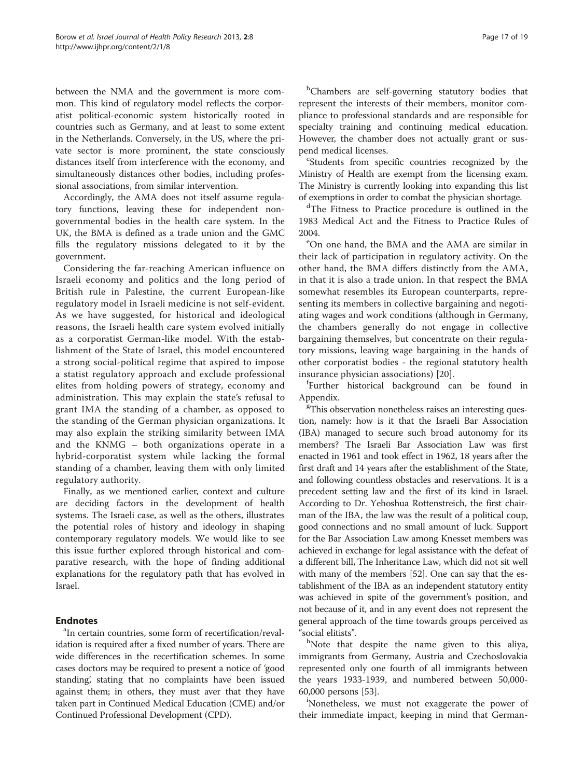between the NMA and the government is more common. This kind of regulatory model reflects the corporatist political-economic system historically rooted in countries such as Germany, and at least to some extent in the Netherlands. Conversely, in the US, where the private sector is more prominent, the state consciously distances itself from interference with the economy, and simultaneously distances other bodies, including professional associations, from similar intervention.

Accordingly, the AMA does not itself assume regulatory functions, leaving these for independent nongovernmental bodies in the health care system. In the UK, the BMA is defined as a trade union and the GMC fills the regulatory missions delegated to it by the government.

Considering the far-reaching American influence on Israeli economy and politics and the long period of British rule in Palestine, the current European-like regulatory model in Israeli medicine is not self-evident. As we have suggested, for historical and ideological reasons, the Israeli health care system evolved initially as a corporatist German-like model. With the establishment of the State of Israel, this model encountered a strong social-political regime that aspired to impose a statist regulatory approach and exclude professional elites from holding powers of strategy, economy and administration. This may explain the state's refusal to grant IMA the standing of a chamber, as opposed to the standing of the German physician organizations. It may also explain the striking similarity between IMA and the KNMG – both organizations operate in a hybrid-corporatist system while lacking the formal standing of a chamber, leaving them with only limited regulatory authority.

Finally, as we mentioned earlier, context and culture are deciding factors in the development of health systems. The Israeli case, as well as the others, illustrates the potential roles of history and ideology in shaping contemporary regulatory models. We would like to see this issue further explored through historical and comparative research, with the hope of finding additional explanations for the regulatory path that has evolved in Israel.

# **Endnotes**

<sup>a</sup>In certain countries, some form of recertification/revalidation is required after a fixed number of years. There are wide differences in the recertification schemes. In some cases doctors may be required to present a notice of 'good standing', stating that no complaints have been issued against them; in others, they must aver that they have taken part in Continued Medical Education (CME) and/or Continued Professional Development (CPD).

<sup>b</sup>Chambers are self-governing statutory bodies that represent the interests of their members, monitor compliance to professional standards and are responsible for specialty training and continuing medical education. However, the chamber does not actually grant or suspend medical licenses.

Students from specific countries recognized by the Ministry of Health are exempt from the licensing exam. The Ministry is currently looking into expanding this list of exemptions in order to combat the physician shortage.

<sup>d</sup>The Fitness to Practice procedure is outlined in the 1983 Medical Act and the Fitness to Practice Rules of  $2004.$ 

On one hand, the BMA and the AMA are similar in their lack of participation in regulatory activity. On the other hand, the BMA differs distinctly from the AMA, in that it is also a trade union. In that respect the BMA somewhat resembles its European counterparts, representing its members in collective bargaining and negotiating wages and work conditions (although in Germany, the chambers generally do not engage in collective bargaining themselves, but concentrate on their regulatory missions, leaving wage bargaining in the hands of other corporatist bodies - the regional statutory health insurance physician associations) [\[20](#page-18-0)].

f Further historical background can be found in [Appendix.](#page-17-0)

<sup>g</sup>This observation nonetheless raises an interesting question, namely: how is it that the Israeli Bar Association (IBA) managed to secure such broad autonomy for its members? The Israeli Bar Association Law was first enacted in 1961 and took effect in 1962, 18 years after the first draft and 14 years after the establishment of the State, and following countless obstacles and reservations. It is a precedent setting law and the first of its kind in Israel. According to Dr. Yehoshua Rottenstreich, the first chairman of the IBA, the law was the result of a political coup, good connections and no small amount of luck. Support for the Bar Association Law among Knesset members was achieved in exchange for legal assistance with the defeat of a different bill, The Inheritance Law, which did not sit well with many of the members [\[52\]](#page-18-0). One can say that the establishment of the IBA as an independent statutory entity was achieved in spite of the government's position, and not because of it, and in any event does not represent the general approach of the time towards groups perceived as "social elitists". <sup>h</sup>

hNote that despite the name given to this aliya, immigrants from Germany, Austria and Czechoslovakia represented only one fourth of all immigrants between the years 1933-1939, and numbered between 50,000- 60,000 persons [[53\]](#page-18-0). <sup>i</sup>

Nonetheless, we must not exaggerate the power of their immediate impact, keeping in mind that German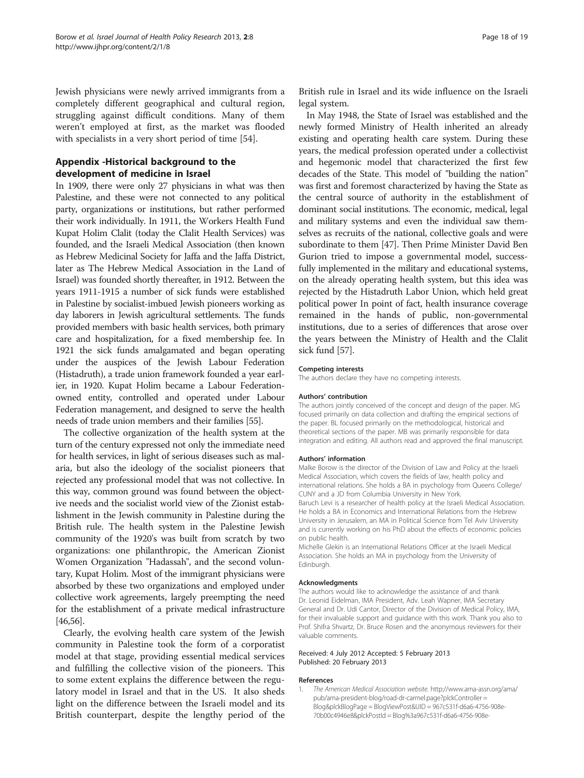<span id="page-17-0"></span>Jewish physicians were newly arrived immigrants from a completely different geographical and cultural region, struggling against difficult conditions. Many of them weren't employed at first, as the market was flooded with specialists in a very short period of time [[54\]](#page-18-0).

# Appendix -Historical background to the development of medicine in Israel

In 1909, there were only 27 physicians in what was then Palestine, and these were not connected to any political party, organizations or institutions, but rather performed their work individually. In 1911, the Workers Health Fund Kupat Holim Clalit (today the Clalit Health Services) was founded, and the Israeli Medical Association (then known as Hebrew Medicinal Society for Jaffa and the Jaffa District, later as The Hebrew Medical Association in the Land of Israel) was founded shortly thereafter, in 1912. Between the years 1911-1915 a number of sick funds were established in Palestine by socialist-imbued Jewish pioneers working as day laborers in Jewish agricultural settlements. The funds provided members with basic health services, both primary care and hospitalization, for a fixed membership fee. In 1921 the sick funds amalgamated and began operating under the auspices of the Jewish Labour Federation (Histadruth), a trade union framework founded a year earlier, in 1920. Kupat Holim became a Labour Federationowned entity, controlled and operated under Labour Federation management, and designed to serve the health needs of trade union members and their families [\[55](#page-18-0)].

The collective organization of the health system at the turn of the century expressed not only the immediate need for health services, in light of serious diseases such as malaria, but also the ideology of the socialist pioneers that rejected any professional model that was not collective. In this way, common ground was found between the objective needs and the socialist world view of the Zionist establishment in the Jewish community in Palestine during the British rule. The health system in the Palestine Jewish community of the 1920's was built from scratch by two organizations: one philanthropic, the American Zionist Women Organization "Hadassah", and the second voluntary, Kupat Holim. Most of the immigrant physicians were absorbed by these two organizations and employed under collective work agreements, largely preempting the need for the establishment of a private medical infrastructure [[46,56](#page-18-0)].

Clearly, the evolving health care system of the Jewish community in Palestine took the form of a corporatist model at that stage, providing essential medical services and fulfilling the collective vision of the pioneers. This to some extent explains the difference between the regulatory model in Israel and that in the US. It also sheds light on the difference between the Israeli model and its British counterpart, despite the lengthy period of the

British rule in Israel and its wide influence on the Israeli legal system.

In May 1948, the State of Israel was established and the newly formed Ministry of Health inherited an already existing and operating health care system. During these years, the medical profession operated under a collectivist and hegemonic model that characterized the first few decades of the State. This model of "building the nation" was first and foremost characterized by having the State as the central source of authority in the establishment of dominant social institutions. The economic, medical, legal and military systems and even the individual saw themselves as recruits of the national, collective goals and were subordinate to them [\[47\]](#page-18-0). Then Prime Minister David Ben Gurion tried to impose a governmental model, successfully implemented in the military and educational systems, on the already operating health system, but this idea was rejected by the Histadruth Labor Union, which held great political power In point of fact, health insurance coverage remained in the hands of public, non-governmental institutions, due to a series of differences that arose over the years between the Ministry of Health and the Clalit sick fund [[57](#page-18-0)].

#### Competing interests

The authors declare they have no competing interests.

#### Authors' contribution

The authors jointly conceived of the concept and design of the paper. MG focused primarily on data collection and drafting the empirical sections of the paper. BL focused primarily on the methodological, historical and theoretical sections of the paper. MB was primarily responsible for data integration and editing. All authors read and approved the final manuscript.

#### Authors' information

Malke Borow is the director of the Division of Law and Policy at the Israeli Medical Association, which covers the fields of law, health policy and international relations. She holds a BA in psychology from Queens College/ CUNY and a JD from Columbia University in New York. Baruch Levi is a researcher of health policy at the Israeli Medical Association. He holds a BA in Economics and International Relations from the Hebrew University in Jerusalem, an MA in Political Science from Tel Aviv University and is currently working on his PhD about the effects of economic policies on public health.

Michelle Glekin is an International Relations Officer at the Israeli Medical Association. She holds an MA in psychology from the University of Edinburgh.

#### Acknowledgments

The authors would like to acknowledge the assistance of and thank Dr. Leonid Eidelman, IMA President, Adv. Leah Wapner, IMA Secretary General and Dr. Udi Cantor, Director of the Division of Medical Policy, IMA, for their invaluable support and guidance with this work. Thank you also to Prof. Shifra Shvartz, Dr. Bruce Rosen and the anonymous reviewers for their valuable comments.

#### Received: 4 July 2012 Accepted: 5 February 2013 Published: 20 February 2013

#### References

1. The American Medical Association website. [http://www.ama-assn.org/ama/](http://www.ama-assn.org/ama/pub/ama-president-blog/road-dr-carmel.page?plckController=Blog&plckBlogPage=BlogViewPost&UID=967c531f-d6a6-4756-908e-70b00c4946e8&plckPostId=Blog%3a967c531f-d6a6-4756-908e-70b00c4946e8Post%3a49e0e1cb-37f0-4d2c-9d3e-3a58c0115599&plckScript=blogScript&plckElementId=blogDest) [pub/ama-president-blog/road-dr-carmel.page?plckController =](http://www.ama-assn.org/ama/pub/ama-president-blog/road-dr-carmel.page?plckController=Blog&plckBlogPage=BlogViewPost&UID=967c531f-d6a6-4756-908e-70b00c4946e8&plckPostId=Blog%3a967c531f-d6a6-4756-908e-70b00c4946e8Post%3a49e0e1cb-37f0-4d2c-9d3e-3a58c0115599&plckScript=blogScript&plckElementId=blogDest) [Blog&plckBlogPage = BlogViewPost&UID = 967c531f-d6a6-4756-908e-](http://www.ama-assn.org/ama/pub/ama-president-blog/road-dr-carmel.page?plckController=Blog&plckBlogPage=BlogViewPost&UID=967c531f-d6a6-4756-908e-70b00c4946e8&plckPostId=Blog%3a967c531f-d6a6-4756-908e-70b00c4946e8Post%3a49e0e1cb-37f0-4d2c-9d3e-3a58c0115599&plckScript=blogScript&plckElementId=blogDest)[70b00c4946e8&plckPostId = Blog%3a967c531f-d6a6-4756-908e-](http://www.ama-assn.org/ama/pub/ama-president-blog/road-dr-carmel.page?plckController=Blog&plckBlogPage=BlogViewPost&UID=967c531f-d6a6-4756-908e-70b00c4946e8&plckPostId=Blog%3a967c531f-d6a6-4756-908e-70b00c4946e8Post%3a49e0e1cb-37f0-4d2c-9d3e-3a58c0115599&plckScript=blogScript&plckElementId=blogDest)